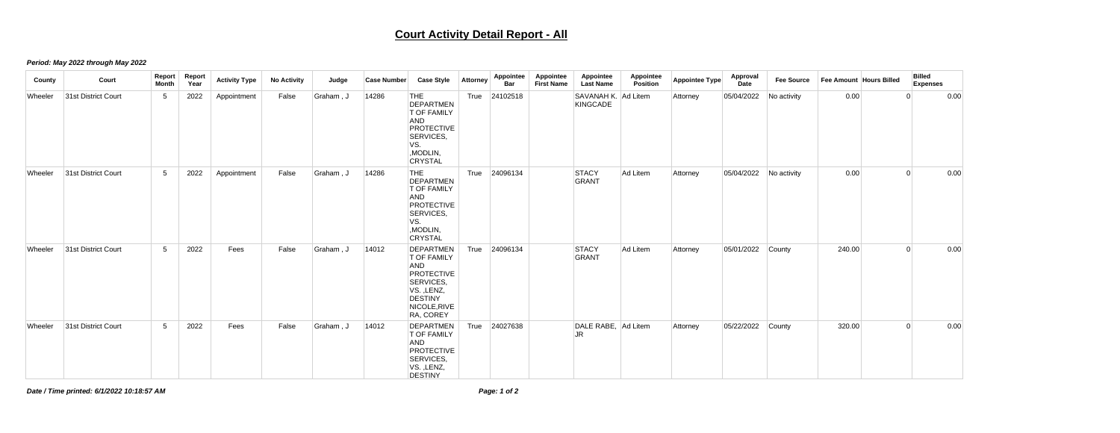## **Court Activity Detail Report - All**

## *Period: May 2022 through May 2022*

| County  | Court               | Report<br><b>Month</b> | Report<br>Year | <b>Activity Type</b> | <b>No Activity</b> | Judge     | <b>Case Number</b> | <b>Case Style</b>                                                                                                                            | <b>Attorney</b> | <b>Appointee</b><br><b>Bar</b> | Appointee<br><b>First Name</b> | Appointee<br><b>Last Name</b>          | Appointee<br>Position | Appointee Type | Approval<br><b>Date</b> | <b>Fee Source</b> | Fee Amount Hours Billed |                | <b>Billed</b><br><b>Expenses</b> |
|---------|---------------------|------------------------|----------------|----------------------|--------------------|-----------|--------------------|----------------------------------------------------------------------------------------------------------------------------------------------|-----------------|--------------------------------|--------------------------------|----------------------------------------|-----------------------|----------------|-------------------------|-------------------|-------------------------|----------------|----------------------------------|
| Wheeler | 31st District Court | $5\overline{)}$        | 2022           | Appointment          | False              | Graham, J | 14286              | THE<br><b>DEPARTMEN</b><br><b>T OF FAMILY</b><br><b>AND</b><br><b>PROTECTIVE</b><br>SERVICES,<br>VS.<br>, MODLIN,<br><b>CRYSTAL</b>          | True            | 24102518                       |                                | SAVANAH K. Ad Litem<br><b>KINGCADE</b> |                       | Attorney       | 05/04/2022              | No activity       | 0.00                    |                | 0.00                             |
| Wheeler | 31st District Court | $5\phantom{.0}$        | 2022           | Appointment          | False              | Graham, J | 14286              | THE<br>DEPARTMEN<br><b>T OF FAMILY</b><br><b>AND</b><br>PROTECTIVE<br>SERVICES,<br>VS.<br>, MODLIN,<br><b>CRYSTAL</b>                        | True            | 24096134                       |                                | <b>STACY</b><br>GRANT                  | Ad Litem              | Attorney       | 05/04/2022              | No activity       | 0.00                    | 0              | 0.00                             |
| Wheeler | 31st District Court | $5\overline{)}$        | 2022           | Fees                 | False              | Graham, J | 14012              | DEPARTMEN<br><b>T OF FAMILY</b><br><b>AND</b><br><b>PROTECTIVE</b><br>SERVICES,<br>VS., LENZ,<br><b>DESTINY</b><br>NICOLE, RIVE<br>RA, COREY | True            | 24096134                       |                                | STACY<br>GRANT                         | Ad Litem              | Attorney       | 05/01/2022 County       |                   | 240.00                  | $\overline{0}$ | 0.00                             |
| Wheeler | 31st District Court | 5 <sup>5</sup>         | 2022           | Fees                 | False              | Graham, J | 14012              | DEPARTMEN<br><b>T OF FAMILY</b><br><b>AND</b><br>PROTECTIVE<br>SERVICES,<br>VS., LENZ,<br><b>DESTINY</b>                                     | True            | 24027638                       |                                | DALE RABE, Ad Litem<br><b>JR</b>       |                       | Attorney       | 05/22/2022              | County            | 320.00                  | $\mathbf{0}$   | 0.00                             |